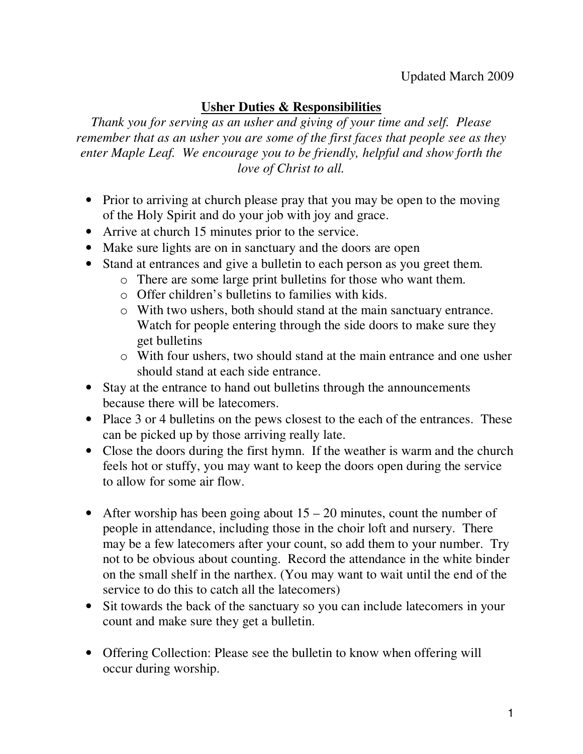## Updated March 2009

## **Usher Duties & Responsibilities**

*Thank you for serving as an usher and giving of your time and self. Please remember that as an usher you are some of the first faces that people see as they enter Maple Leaf. We encourage you to be friendly, helpful and show forth the love of Christ to all.* 

- Prior to arriving at church please pray that you may be open to the moving of the Holy Spirit and do your job with joy and grace.
- Arrive at church 15 minutes prior to the service.
- Make sure lights are on in sanctuary and the doors are open
- Stand at entrances and give a bulletin to each person as you greet them.
	- o There are some large print bulletins for those who want them.
	- o Offer children's bulletins to families with kids.
	- o With two ushers, both should stand at the main sanctuary entrance. Watch for people entering through the side doors to make sure they get bulletins
	- o With four ushers, two should stand at the main entrance and one usher should stand at each side entrance.
- Stay at the entrance to hand out bulletins through the announcements because there will be latecomers.
- Place 3 or 4 bulletins on the pews closest to the each of the entrances. These can be picked up by those arriving really late.
- Close the doors during the first hymn. If the weather is warm and the church feels hot or stuffy, you may want to keep the doors open during the service to allow for some air flow.
- After worship has been going about  $15 20$  minutes, count the number of people in attendance, including those in the choir loft and nursery. There may be a few latecomers after your count, so add them to your number. Try not to be obvious about counting. Record the attendance in the white binder on the small shelf in the narthex. (You may want to wait until the end of the service to do this to catch all the latecomers)
- Sit towards the back of the sanctuary so you can include latecomers in your count and make sure they get a bulletin.
- Offering Collection: Please see the bulletin to know when offering will occur during worship.